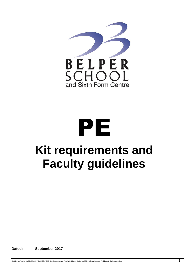

## PE **Kit requirements and Faculty guidelines**

**Dated: September 2017**

H:\U Drive\Policies And Guides\3. POLICIES\PE Kit Requirements And Faculty Guidance (In-School)\PE Kit Requirements And Faculty Guidance 1.Doc 1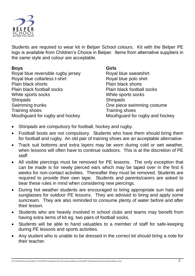

Students are required to wear kit in Belper School colours. Kit with the Belper PE logo is available from Children's Choice in Belper. Items from alternative suppliers in the same style and colour are acceptable.

| <b>Boys</b>                        | <b>Girls</b>                    |
|------------------------------------|---------------------------------|
| Royal blue reversible rugby jersey | Royal blue sweatshirt           |
| Royal blue collarless t-shirt      | Royal blue polo shirt           |
| Plain black shorts                 | <b>Plain black shorts</b>       |
| Plain black football socks         | Plain black football socks      |
| White sports socks                 | White sports socks              |
| <b>Shinpads</b>                    | <b>Shinpads</b>                 |
| Swimming trunks                    | One piece swimming costume      |
| <b>Training shoes</b>              | <b>Training shoes</b>           |
| Mouthguard for rugby and hockey    | Mouthguard for rugby and hockey |

- Shinpads are compulsory for football, hockey and rugby.
- Football boots are not compulsory. Students who have them should bring them for football and rugby. An old pair of training shoes are an acceptable alternative.
- Track suit bottoms and extra layers may be worn during cold or wet weather, when lessons will often have to continue outdoors. This is at the discretion of PE staff.
- All visible piercings must be removed for PE lessons. The only exception that can be made is for newly pierced ears which may be taped over in the first 6 weeks for non-contact activities. Thereafter they must be removed. Students are required to provide their own tape. Students and parents/carers are asked to bear these rules in mind when considering new piercings.
- During hot weather students are encouraged to bring appropriate sun hats and sunglasses for outdoor PE lessons. They are advised to bring and apply some suncream. They are also reminded to consume plenty of water before and after their lesson.
- Students who are heavily involved in school clubs and teams may benefit from having extra items of kit eg. two pairs of football socks.
- Students will be able to hand valuables to a member of staff for safe-keeping during PE lessons and sports activities.
- Any student who is unable to be dressed in the correct kit should bring a note for their teacher.